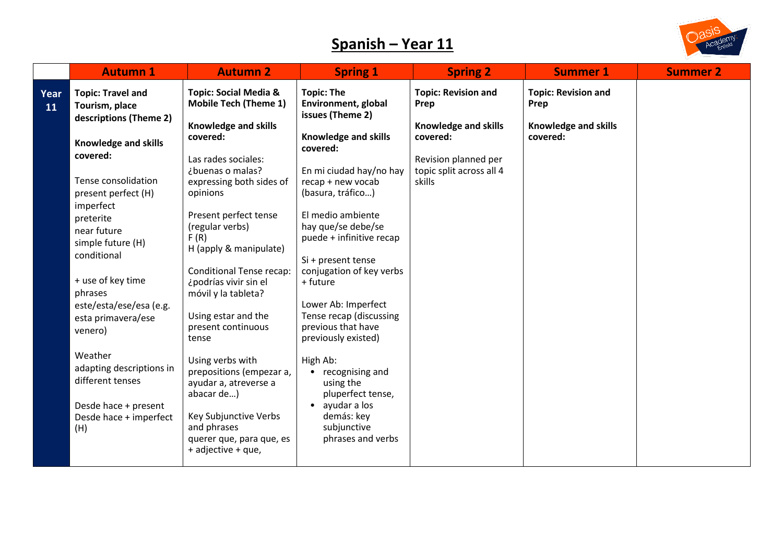## **Spanish – Year 11**



|            | <b>Autumn 1</b>                                                                                                                                                                                                                                                                                                                                                                                                                                     | <b>Autumn 2</b>                                                                                                                                                                                                                                                                                                                                                                                                                                                                                                                                                                                 | <b>Spring 1</b>                                                                                                                                                                                                                                                                                                                                                                                                                                                                                                                                                         | <b>Spring 2</b>                                                                                                                             | <b>Summer 1</b>                                                        | <b>Summer 2</b> |
|------------|-----------------------------------------------------------------------------------------------------------------------------------------------------------------------------------------------------------------------------------------------------------------------------------------------------------------------------------------------------------------------------------------------------------------------------------------------------|-------------------------------------------------------------------------------------------------------------------------------------------------------------------------------------------------------------------------------------------------------------------------------------------------------------------------------------------------------------------------------------------------------------------------------------------------------------------------------------------------------------------------------------------------------------------------------------------------|-------------------------------------------------------------------------------------------------------------------------------------------------------------------------------------------------------------------------------------------------------------------------------------------------------------------------------------------------------------------------------------------------------------------------------------------------------------------------------------------------------------------------------------------------------------------------|---------------------------------------------------------------------------------------------------------------------------------------------|------------------------------------------------------------------------|-----------------|
| Year<br>11 | <b>Topic: Travel and</b><br>Tourism, place<br>descriptions (Theme 2)<br>Knowledge and skills<br>covered:<br>Tense consolidation<br>present perfect (H)<br>imperfect<br>preterite<br>near future<br>simple future (H)<br>conditional<br>+ use of key time<br>phrases<br>este/esta/ese/esa (e.g.<br>esta primavera/ese<br>venero)<br>Weather<br>adapting descriptions in<br>different tenses<br>Desde hace + present<br>Desde hace + imperfect<br>(H) | <b>Topic: Social Media &amp;</b><br><b>Mobile Tech (Theme 1)</b><br>Knowledge and skills<br>covered:<br>Las rades sociales:<br>¿buenas o malas?<br>expressing both sides of<br>opinions<br>Present perfect tense<br>(regular verbs)<br>F(R)<br>H (apply & manipulate)<br><b>Conditional Tense recap:</b><br>¿podrías vivir sin el<br>móvil y la tableta?<br>Using estar and the<br>present continuous<br>tense<br>Using verbs with<br>prepositions (empezar a,<br>ayudar a, atreverse a<br>abacar de)<br>Key Subjunctive Verbs<br>and phrases<br>querer que, para que, es<br>+ adjective + que, | <b>Topic: The</b><br><b>Environment, global</b><br>issues (Theme 2)<br><b>Knowledge and skills</b><br>covered:<br>En mi ciudad hay/no hay<br>recap + new vocab<br>(basura, tráfico)<br>El medio ambiente<br>hay que/se debe/se<br>puede + infinitive recap<br>Si + present tense<br>conjugation of key verbs<br>+ future<br>Lower Ab: Imperfect<br>Tense recap (discussing<br>previous that have<br>previously existed)<br>High Ab:<br>recognising and<br>using the<br>pluperfect tense,<br>ayudar a los<br>$\bullet$<br>demás: key<br>subjunctive<br>phrases and verbs | <b>Topic: Revision and</b><br>Prep<br><b>Knowledge and skills</b><br>covered:<br>Revision planned per<br>topic split across all 4<br>skills | <b>Topic: Revision and</b><br>Prep<br>Knowledge and skills<br>covered: |                 |